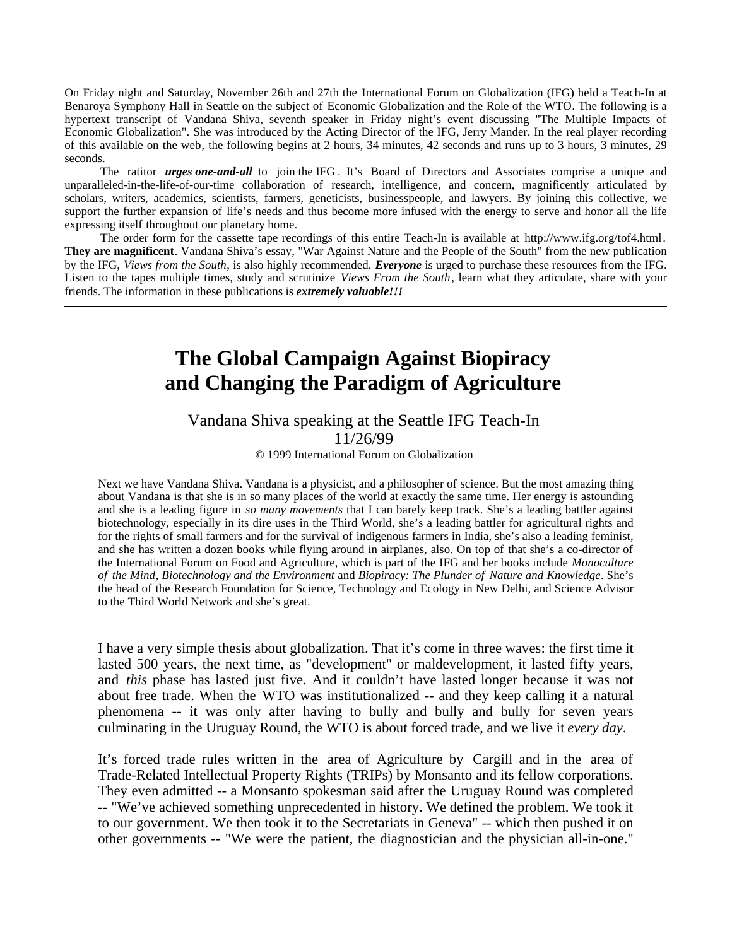On Friday night and Saturday, November 26th and 27th the International Forum on Globalization (IFG) held a Teach-In at Benaroya Symphony Hall in Seattle on the subject of Economic Globalization and the Role of the WTO. The following is a hypertext transcript of Vandana Shiva, seventh speaker in Friday night's event discussing "The Multiple Impacts of Economic Globalization". She was introduced by the Acting Director of the IFG, Jerry Mander. In the real player recording of this available on the web, the following begins at 2 hours, 34 minutes, 42 seconds and runs up to 3 hours, 3 minutes, 29 seconds.

 The ratitor *urges one-and-all* to join the IFG . It's Board of Directors and Associates comprise a unique and unparalleled-in-the-life-of-our-time collaboration of research, intelligence, and concern, magnificently articulated by scholars, writers, academics, scientists, farmers, geneticists, businesspeople, and lawyers. By joining this collective, we support the further expansion of life's needs and thus become more infused with the energy to serve and honor all the life expressing itself throughout our planetary home.

 The order form for the cassette tape recordings of this entire Teach-In is available at http://www.ifg.org/tof4.html. **They are magnificent**. Vandana Shiva's essay, "War Against Nature and the People of the South" from the new publication by the IFG, *Views from the South*, is also highly recommended. *Everyone* is urged to purchase these resources from the IFG. Listen to the tapes multiple times, study and scrutinize *Views From the South*, learn what they articulate, share with your friends. The information in these publications is *extremely valuable!!!*

## **The Global Campaign Against Biopiracy and Changing the Paradigm of Agriculture**

## Vandana Shiva speaking at the Seattle IFG Teach-In 11/26/99

© 1999 International Forum on Globalization

Next we have Vandana Shiva. Vandana is a physicist, and a philosopher of science. But the most amazing thing about Vandana is that she is in so many places of the world at exactly the same time. Her energy is astounding and she is a leading figure in *so many movements* that I can barely keep track. She's a leading battler against biotechnology, especially in its dire uses in the Third World, she's a leading battler for agricultural rights and for the rights of small farmers and for the survival of indigenous farmers in India, she's also a leading feminist, and she has written a dozen books while flying around in airplanes, also. On top of that she's a co-director of the International Forum on Food and Agriculture, which is part of the IFG and her books include *Monoculture of the Mind*, *Biotechnology and the Environment* and *Biopiracy: The Plunder of Nature and Knowledge*. She's the head of the Research Foundation for Science, Technology and Ecology in New Delhi, and Science Advisor to the Third World Network and she's great.

I have a very simple thesis about globalization. That it's come in three waves: the first time it lasted 500 years, the next time, as "development" or maldevelopment, it lasted fifty years, and *this* phase has lasted just five. And it couldn't have lasted longer because it was not about free trade. When the WTO was institutionalized -- and they keep calling it a natural phenomena -- it was only after having to bully and bully and bully for seven years culminating in the Uruguay Round, the WTO is about forced trade, and we live it *every day*.

It's forced trade rules written in the area of Agriculture by Cargill and in the area of Trade-Related Intellectual Property Rights (TRIPs) by Monsanto and its fellow corporations. They even admitted -- a Monsanto spokesman said after the Uruguay Round was completed -- "We've achieved something unprecedented in history. We defined the problem. We took it to our government. We then took it to the Secretariats in Geneva" -- which then pushed it on other governments -- "We were the patient, the diagnostician and the physician all-in-one."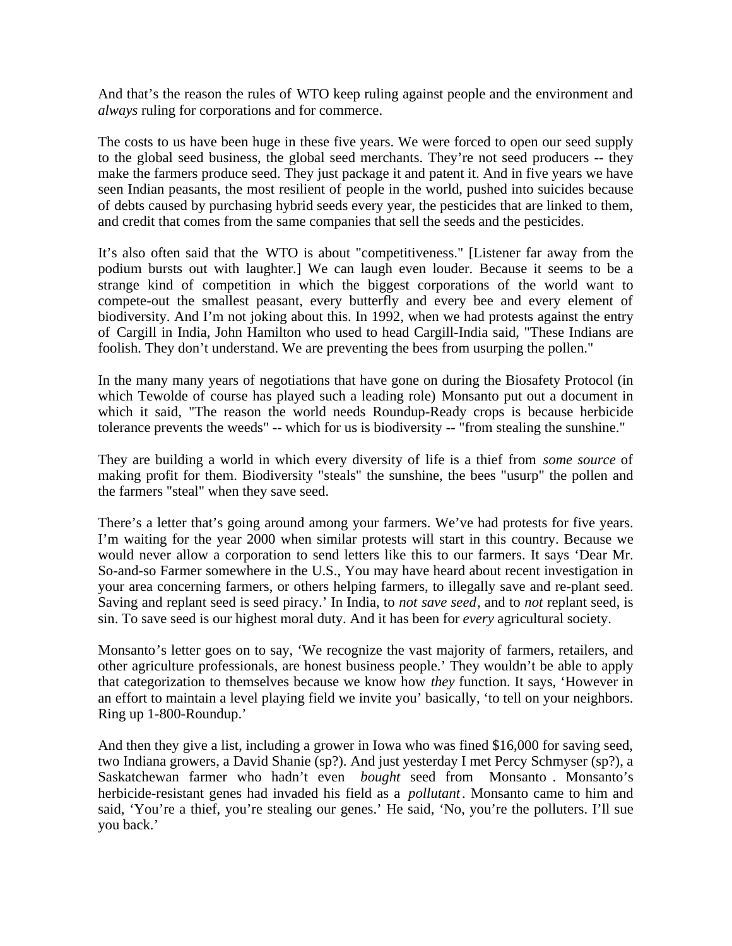And that's the reason the rules of WTO keep ruling against people and the environment and *always* ruling for corporations and for commerce.

The costs to us have been huge in these five years. We were forced to open our seed supply to the global seed business, the global seed merchants. They're not seed producers -- they make the farmers produce seed. They just package it and patent it. And in five years we have seen Indian peasants, the most resilient of people in the world, pushed into suicides because of debts caused by purchasing hybrid seeds every year, the pesticides that are linked to them, and credit that comes from the same companies that sell the seeds and the pesticides.

It's also often said that the WTO is about "competitiveness." [Listener far away from the podium bursts out with laughter.] We can laugh even louder. Because it seems to be a strange kind of competition in which the biggest corporations of the world want to compete-out the smallest peasant, every butterfly and every bee and every element of biodiversity. And I'm not joking about this. In 1992, when we had protests against the entry of Cargill in India, John Hamilton who used to head Cargill-India said, "These Indians are foolish. They don't understand. We are preventing the bees from usurping the pollen."

In the many many years of negotiations that have gone on during the Biosafety Protocol (in which Tewolde of course has played such a leading role) Monsanto put out a document in which it said, "The reason the world needs Roundup-Ready crops is because herbicide tolerance prevents the weeds" -- which for us is biodiversity -- "from stealing the sunshine."

They are building a world in which every diversity of life is a thief from *some source* of making profit for them. Biodiversity "steals" the sunshine, the bees "usurp" the pollen and the farmers "steal" when they save seed.

There's a letter that's going around among your farmers. We've had protests for five years. I'm waiting for the year 2000 when similar protests will start in this country. Because we would never allow a corporation to send letters like this to our farmers. It says 'Dear Mr. So-and-so Farmer somewhere in the U.S., You may have heard about recent investigation in your area concerning farmers, or others helping farmers, to illegally save and re-plant seed. Saving and replant seed is seed piracy.' In India, to *not save seed*, and to *not* replant seed, is sin. To save seed is our highest moral duty. And it has been for *every* agricultural society.

Monsanto's letter goes on to say, 'We recognize the vast majority of farmers, retailers, and other agriculture professionals, are honest business people.' They wouldn't be able to apply that categorization to themselves because we know how *they* function. It says, 'However in an effort to maintain a level playing field we invite you' basically, 'to tell on your neighbors. Ring up 1-800-Roundup.'

And then they give a list, including a grower in Iowa who was fined \$16,000 for saving seed, two Indiana growers, a David Shanie (sp?). And just yesterday I met Percy Schmyser (sp?), a Saskatchewan farmer who hadn't even *bought* seed from Monsanto . Monsanto's herbicide-resistant genes had invaded his field as a *pollutant*. Monsanto came to him and said, 'You're a thief, you're stealing our genes.' He said, 'No, you're the polluters. I'll sue you back.'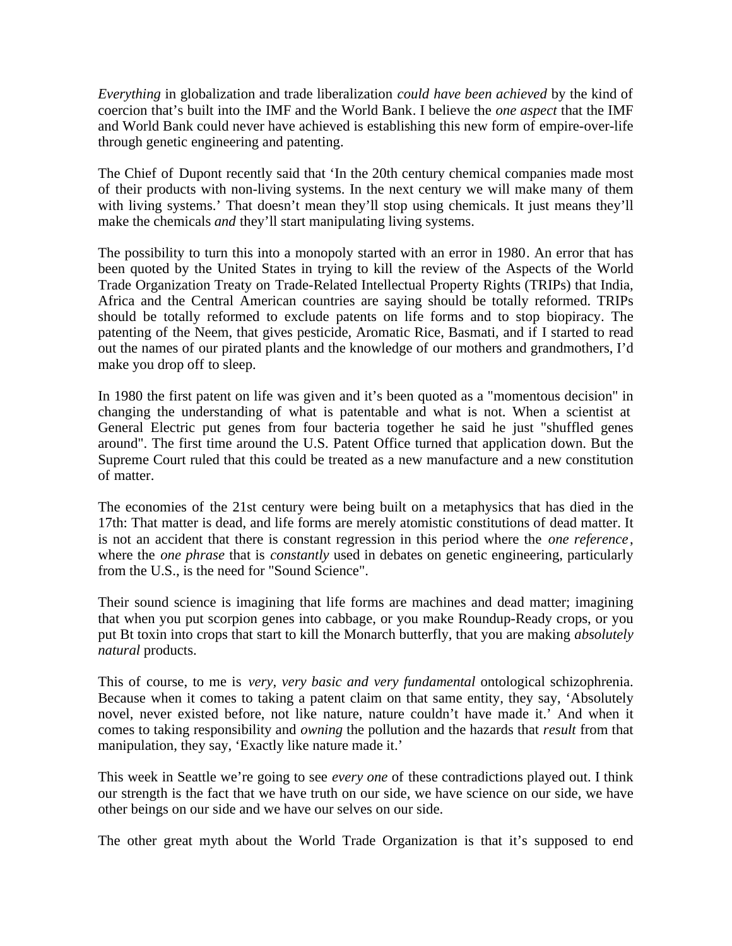*Everything* in globalization and trade liberalization *could have been achieved* by the kind of coercion that's built into the IMF and the World Bank. I believe the *one aspect* that the IMF and World Bank could never have achieved is establishing this new form of empire-over-life through genetic engineering and patenting.

The Chief of Dupont recently said that 'In the 20th century chemical companies made most of their products with non-living systems. In the next century we will make many of them with living systems.' That doesn't mean they'll stop using chemicals. It just means they'll make the chemicals *and* they'll start manipulating living systems.

The possibility to turn this into a monopoly started with an error in 1980. An error that has been quoted by the United States in trying to kill the review of the Aspects of the World Trade Organization Treaty on Trade-Related Intellectual Property Rights (TRIPs) that India, Africa and the Central American countries are saying should be totally reformed. TRIPs should be totally reformed to exclude patents on life forms and to stop biopiracy. The patenting of the Neem, that gives pesticide, Aromatic Rice, Basmati, and if I started to read out the names of our pirated plants and the knowledge of our mothers and grandmothers, I'd make you drop off to sleep.

In 1980 the first patent on life was given and it's been quoted as a "momentous decision" in changing the understanding of what is patentable and what is not. When a scientist at General Electric put genes from four bacteria together he said he just "shuffled genes around". The first time around the U.S. Patent Office turned that application down. But the Supreme Court ruled that this could be treated as a new manufacture and a new constitution of matter.

The economies of the 21st century were being built on a metaphysics that has died in the 17th: That matter is dead, and life forms are merely atomistic constitutions of dead matter. It is not an accident that there is constant regression in this period where the *one reference*, where the *one phrase* that is *constantly* used in debates on genetic engineering, particularly from the U.S., is the need for "Sound Science".

Their sound science is imagining that life forms are machines and dead matter; imagining that when you put scorpion genes into cabbage, or you make Roundup-Ready crops, or you put Bt toxin into crops that start to kill the Monarch butterfly, that you are making *absolutely natural* products.

This of course, to me is *very, very basic and very fundamental* ontological schizophrenia. Because when it comes to taking a patent claim on that same entity, they say, 'Absolutely novel, never existed before, not like nature, nature couldn't have made it.' And when it comes to taking responsibility and *owning* the pollution and the hazards that *result* from that manipulation, they say, 'Exactly like nature made it.'

This week in Seattle we're going to see *every one* of these contradictions played out. I think our strength is the fact that we have truth on our side, we have science on our side, we have other beings on our side and we have our selves on our side.

The other great myth about the World Trade Organization is that it's supposed to end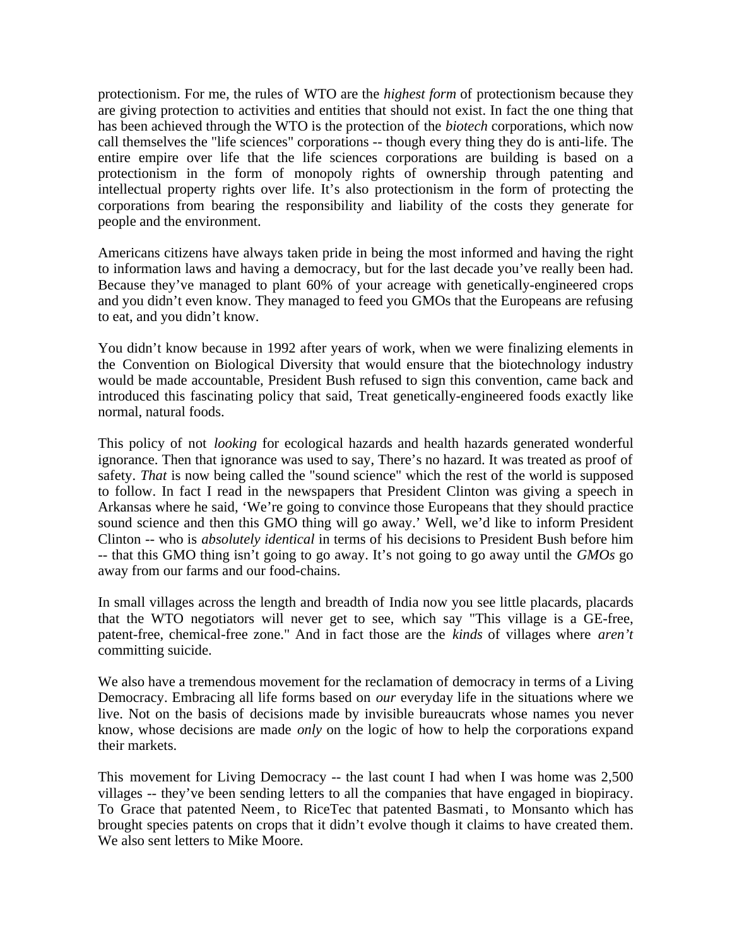protectionism. For me, the rules of WTO are the *highest form* of protectionism because they are giving protection to activities and entities that should not exist. In fact the one thing that has been achieved through the WTO is the protection of the *biotech* corporations, which now call themselves the "life sciences" corporations -- though every thing they do is anti-life. The entire empire over life that the life sciences corporations are building is based on a protectionism in the form of monopoly rights of ownership through patenting and intellectual property rights over life. It's also protectionism in the form of protecting the corporations from bearing the responsibility and liability of the costs they generate for people and the environment.

Americans citizens have always taken pride in being the most informed and having the right to information laws and having a democracy, but for the last decade you've really been had. Because they've managed to plant 60% of your acreage with genetically-engineered crops and you didn't even know. They managed to feed you GMOs that the Europeans are refusing to eat, and you didn't know.

You didn't know because in 1992 after years of work, when we were finalizing elements in the Convention on Biological Diversity that would ensure that the biotechnology industry would be made accountable, President Bush refused to sign this convention, came back and introduced this fascinating policy that said, Treat genetically-engineered foods exactly like normal, natural foods.

This policy of not *looking* for ecological hazards and health hazards generated wonderful ignorance. Then that ignorance was used to say, There's no hazard. It was treated as proof of safety. *That* is now being called the "sound science" which the rest of the world is supposed to follow. In fact I read in the newspapers that President Clinton was giving a speech in Arkansas where he said, 'We're going to convince those Europeans that they should practice sound science and then this GMO thing will go away.' Well, we'd like to inform President Clinton -- who is *absolutely identical* in terms of his decisions to President Bush before him -- that this GMO thing isn't going to go away. It's not going to go away until the *GMOs* go away from our farms and our food-chains.

In small villages across the length and breadth of India now you see little placards, placards that the WTO negotiators will never get to see, which say "This village is a GE-free, patent-free, chemical-free zone." And in fact those are the *kinds* of villages where *aren't* committing suicide.

We also have a tremendous movement for the reclamation of democracy in terms of a Living Democracy. Embracing all life forms based on *our* everyday life in the situations where we live. Not on the basis of decisions made by invisible bureaucrats whose names you never know, whose decisions are made *only* on the logic of how to help the corporations expand their markets.

This movement for Living Democracy -- the last count I had when I was home was 2,500 villages -- they've been sending letters to all the companies that have engaged in biopiracy. To Grace that patented Neem, to RiceTec that patented Basmati, to Monsanto which has brought species patents on crops that it didn't evolve though it claims to have created them. We also sent letters to Mike Moore.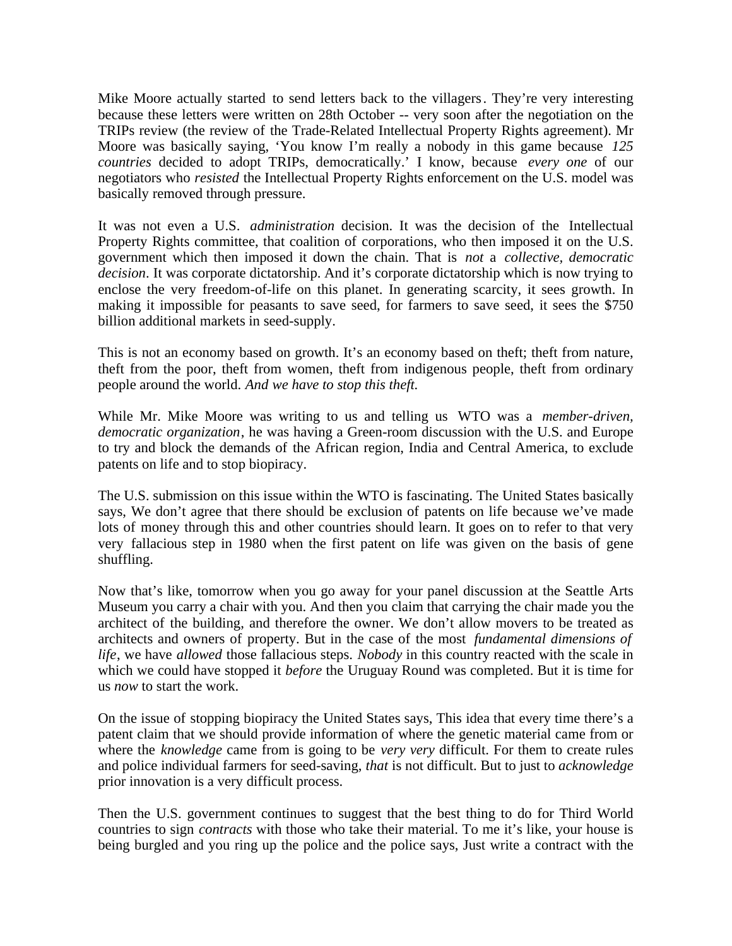Mike Moore actually started to send letters back to the villagers. They're very interesting because these letters were written on 28th October -- very soon after the negotiation on the TRIPs review (the review of the Trade-Related Intellectual Property Rights agreement). Mr Moore was basically saying, 'You know I'm really a nobody in this game because *125 countries* decided to adopt TRIPs, democratically.' I know, because *every one* of our negotiators who *resisted* the Intellectual Property Rights enforcement on the U.S. model was basically removed through pressure.

It was not even a U.S. *administration* decision. It was the decision of the Intellectual Property Rights committee, that coalition of corporations, who then imposed it on the U.S. government which then imposed it down the chain. That is *not* a *collective, democratic decision*. It was corporate dictatorship. And it's corporate dictatorship which is now trying to enclose the very freedom-of-life on this planet. In generating scarcity, it sees growth. In making it impossible for peasants to save seed, for farmers to save seed, it sees the \$750 billion additional markets in seed-supply.

This is not an economy based on growth. It's an economy based on theft; theft from nature, theft from the poor, theft from women, theft from indigenous people, theft from ordinary people around the world. *And we have to stop this theft.*

While Mr. Mike Moore was writing to us and telling us WTO was a *member-driven, democratic organization*, he was having a Green-room discussion with the U.S. and Europe to try and block the demands of the African region, India and Central America, to exclude patents on life and to stop biopiracy.

The U.S. submission on this issue within the WTO is fascinating. The United States basically says, We don't agree that there should be exclusion of patents on life because we've made lots of money through this and other countries should learn. It goes on to refer to that very very fallacious step in 1980 when the first patent on life was given on the basis of gene shuffling.

Now that's like, tomorrow when you go away for your panel discussion at the Seattle Arts Museum you carry a chair with you. And then you claim that carrying the chair made you the architect of the building, and therefore the owner. We don't allow movers to be treated as architects and owners of property. But in the case of the most *fundamental dimensions of life*, we have *allowed* those fallacious steps. *Nobody* in this country reacted with the scale in which we could have stopped it *before* the Uruguay Round was completed. But it is time for us *now* to start the work.

On the issue of stopping biopiracy the United States says, This idea that every time there's a patent claim that we should provide information of where the genetic material came from or where the *knowledge* came from is going to be *very very* difficult. For them to create rules and police individual farmers for seed-saving, *that* is not difficult. But to just to *acknowledge* prior innovation is a very difficult process.

Then the U.S. government continues to suggest that the best thing to do for Third World countries to sign *contracts* with those who take their material. To me it's like, your house is being burgled and you ring up the police and the police says, Just write a contract with the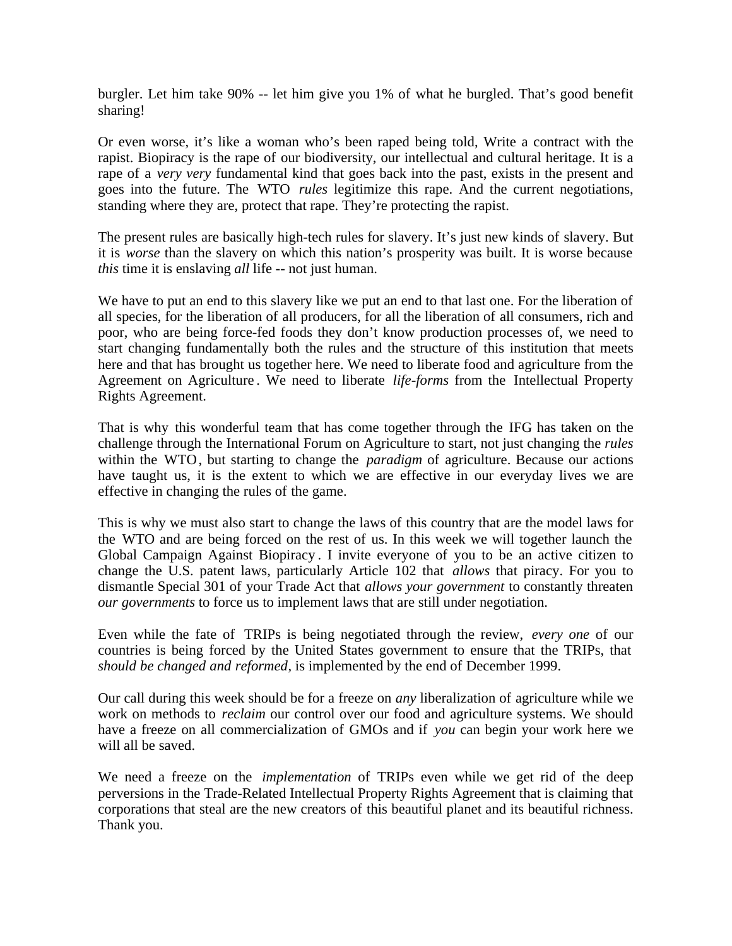burgler. Let him take 90% -- let him give you 1% of what he burgled. That's good benefit sharing!

Or even worse, it's like a woman who's been raped being told, Write a contract with the rapist. Biopiracy is the rape of our biodiversity, our intellectual and cultural heritage. It is a rape of a *very very* fundamental kind that goes back into the past, exists in the present and goes into the future. The WTO *rules* legitimize this rape. And the current negotiations, standing where they are, protect that rape. They're protecting the rapist.

The present rules are basically high-tech rules for slavery. It's just new kinds of slavery. But it is *worse* than the slavery on which this nation's prosperity was built. It is worse because *this* time it is enslaving *all* life -- not just human.

We have to put an end to this slavery like we put an end to that last one. For the liberation of all species, for the liberation of all producers, for all the liberation of all consumers, rich and poor, who are being force-fed foods they don't know production processes of, we need to start changing fundamentally both the rules and the structure of this institution that meets here and that has brought us together here. We need to liberate food and agriculture from the Agreement on Agriculture . We need to liberate *life-forms* from the Intellectual Property Rights Agreement.

That is why this wonderful team that has come together through the IFG has taken on the challenge through the International Forum on Agriculture to start, not just changing the *rules* within the WTO, but starting to change the *paradigm* of agriculture. Because our actions have taught us, it is the extent to which we are effective in our everyday lives we are effective in changing the rules of the game.

This is why we must also start to change the laws of this country that are the model laws for the WTO and are being forced on the rest of us. In this week we will together launch the Global Campaign Against Biopiracy . I invite everyone of you to be an active citizen to change the U.S. patent laws, particularly Article 102 that *allows* that piracy. For you to dismantle Special 301 of your Trade Act that *allows your government* to constantly threaten *our governments* to force us to implement laws that are still under negotiation.

Even while the fate of TRIPs is being negotiated through the review, *every one* of our countries is being forced by the United States government to ensure that the TRIPs, that *should be changed and reformed*, is implemented by the end of December 1999.

Our call during this week should be for a freeze on *any* liberalization of agriculture while we work on methods to *reclaim* our control over our food and agriculture systems. We should have a freeze on all commercialization of GMOs and if *you* can begin your work here we will all be saved.

We need a freeze on the *implementation* of TRIPs even while we get rid of the deep perversions in the Trade-Related Intellectual Property Rights Agreement that is claiming that corporations that steal are the new creators of this beautiful planet and its beautiful richness. Thank you.